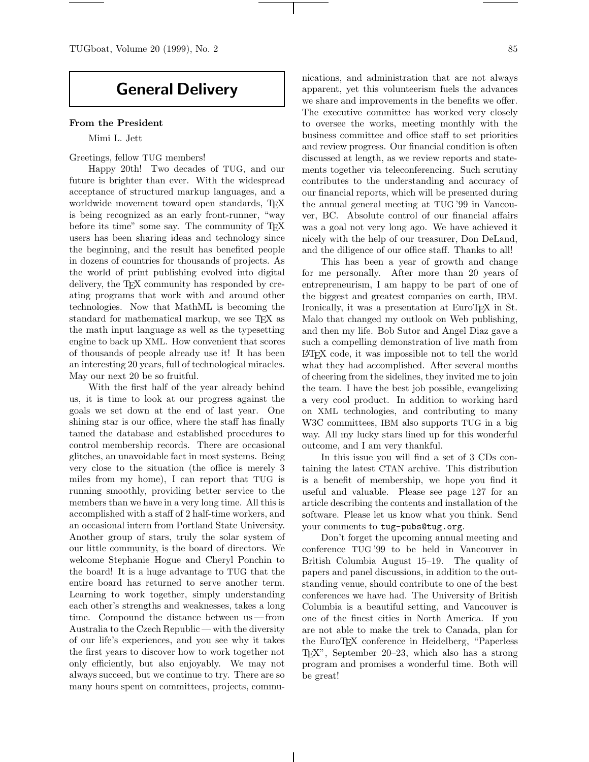# **General Delivery**

# **From the President**

Mimi L. Jett

Greetings, fellow TUG members!

Happy 20th! Two decades of TUG, and our future is brighter than ever. With the widespread acceptance of structured markup languages, and a worldwide movement toward open standards, T<sub>EX</sub> is being recognized as an early front-runner, "way before its time" some say. The community of TEX users has been sharing ideas and technology since the beginning, and the result has benefited people in dozens of countries for thousands of projects. As the world of print publishing evolved into digital delivery, the TEX community has responded by creating programs that work with and around other technologies. Now that MathML is becoming the standard for mathematical markup, we see T<sub>EX</sub> as the math input language as well as the typesetting engine to back up XML. How convenient that scores of thousands of people already use it! It has been an interesting 20 years, full of technological miracles. May our next 20 be so fruitful.

With the first half of the year already behind us, it is time to look at our progress against the goals we set down at the end of last year. One shining star is our office, where the staff has finally tamed the database and established procedures to control membership records. There are occasional glitches, an unavoidable fact in most systems. Being very close to the situation (the office is merely 3 miles from my home), I can report that TUG is running smoothly, providing better service to the members than we have in a very long time. All this is accomplished with a staff of 2 half-time workers, and an occasional intern from Portland State University. Another group of stars, truly the solar system of our little community, is the board of directors. We welcome Stephanie Hogue and Cheryl Ponchin to the board! It is a huge advantage to TUG that the entire board has returned to serve another term. Learning to work together, simply understanding each other's strengths and weaknesses, takes a long time. Compound the distance between us — from Australia to the Czech Republic — with the diversity of our life's experiences, and you see why it takes the first years to discover how to work together not only efficiently, but also enjoyably. We may not always succeed, but we continue to try. There are so many hours spent on committees, projects, communications, and administration that are not always apparent, yet this volunteerism fuels the advances we share and improvements in the benefits we offer. The executive committee has worked very closely to oversee the works, meeting monthly with the business committee and office staff to set priorities and review progress. Our financial condition is often discussed at length, as we review reports and statements together via teleconferencing. Such scrutiny contributes to the understanding and accuracy of our financial reports, which will be presented during the annual general meeting at TUG '99 in Vancouver, BC. Absolute control of our financial affairs was a goal not very long ago. We have achieved it nicely with the help of our treasurer, Don DeLand, and the diligence of our office staff. Thanks to all!

This has been a year of growth and change for me personally. After more than 20 years of entrepreneurism, I am happy to be part of one of the biggest and greatest companies on earth, IBM. Ironically, it was a presentation at EuroT<sub>EX</sub> in St. Malo that changed my outlook on Web publishing, and then my life. Bob Sutor and Angel Diaz gave a such a compelling demonstration of live math from LATEX code, it was impossible not to tell the world what they had accomplished. After several months of cheering from the sidelines, they invited me to join the team. I have the best job possible, evangelizing a very cool product. In addition to working hard on XML technologies, and contributing to many W3C committees, IBM also supports TUG in a big way. All my lucky stars lined up for this wonderful outcome, and I am very thankful.

In this issue you will find a set of 3 CDs containing the latest CTAN archive. This distribution is a benefit of membership, we hope you find it useful and valuable. Please see page 127 for an article describing the contents and installation of the software. Please let us know what you think. Send your comments to tug-pubs@tug.org.

Don't forget the upcoming annual meeting and conference TUG '99 to be held in Vancouver in British Columbia August 15–19. The quality of papers and panel discussions, in addition to the outstanding venue, should contribute to one of the best conferences we have had. The University of British Columbia is a beautiful setting, and Vancouver is one of the finest cities in North America. If you are not able to make the trek to Canada, plan for the EuroTEX conference in Heidelberg, "Paperless TEX", September 20–23, which also has a strong program and promises a wonderful time. Both will be great!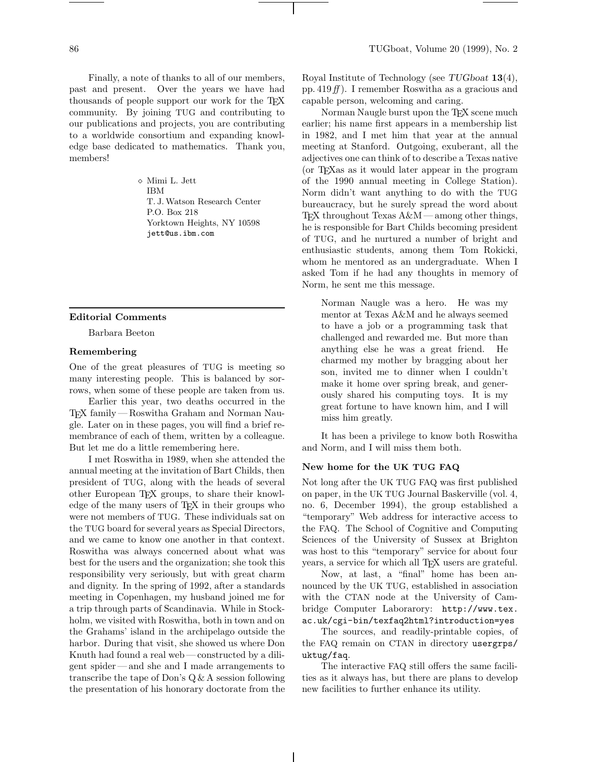Finally, a note of thanks to all of our members, past and present. Over the years we have had thousands of people support our work for the TEX community. By joining TUG and contributing to our publications and projects, you are contributing to a worldwide consortium and expanding knowledge base dedicated to mathematics. Thank you, members!

> Mimi L. Jett IBM T. J. Watson Research Center P.O. Box 218 Yorktown Heights, NY 10598 jett@us.ibm.com

# **Editorial Comments**

Barbara Beeton

#### **Remembering**

One of the great pleasures of TUG is meeting so many interesting people. This is balanced by sorrows, when some of these people are taken from us.

Earlier this year, two deaths occurred in the TEX family — Roswitha Graham and Norman Naugle. Later on in these pages, you will find a brief remembrance of each of them, written by a colleague. But let me do a little remembering here.

I met Roswitha in 1989, when she attended the annual meeting at the invitation of Bart Childs, then president of TUG, along with the heads of several other European TEX groups, to share their knowledge of the many users of T<sub>EX</sub> in their groups who were not members of TUG. These individuals sat on the TUG board for several years as Special Directors, and we came to know one another in that context. Roswitha was always concerned about what was best for the users and the organization; she took this responsibility very seriously, but with great charm and dignity. In the spring of 1992, after a standards meeting in Copenhagen, my husband joined me for a trip through parts of Scandinavia. While in Stockholm, we visited with Roswitha, both in town and on the Grahams' island in the archipelago outside the harbor. During that visit, she showed us where Don Knuth had found a real web— constructed by a diligent spider— and she and I made arrangements to transcribe the tape of Don's Q & A session following the presentation of his honorary doctorate from the

Royal Institute of Technology (see *TUGboat* **<sup>13</sup>**(4), pp. 419*ff* ). I remember Roswitha as a gracious and capable person, welcoming and caring.

Norman Naugle burst upon the T<sub>E</sub>X scene much earlier; his name first appears in a membership list in 1982, and I met him that year at the annual meeting at Stanford. Outgoing, exuberant, all the adjectives one can think of to describe a Texas native (or TEXas as it would later appear in the program of the 1990 annual meeting in College Station). Norm didn't want anything to do with the TUG bureaucracy, but he surely spread the word about TEX throughout Texas  $A\&M$  — among other things, he is responsible for Bart Childs becoming president of TUG, and he nurtured a number of bright and enthusiastic students, among them Tom Rokicki, whom he mentored as an undergraduate. When I asked Tom if he had any thoughts in memory of Norm, he sent me this message.

Norman Naugle was a hero. He was my mentor at Texas A&M and he always seemed to have a job or a programming task that challenged and rewarded me. But more than anything else he was a great friend. He charmed my mother by bragging about her son, invited me to dinner when I couldn't make it home over spring break, and generously shared his computing toys. It is my great fortune to have known him, and I will miss him greatly.

It has been a privilege to know both Roswitha and Norm, and I will miss them both.

#### **New home for the UK TUG FAQ**

Not long after the UK TUG FAQ was first published on paper, in the UK TUG Journal Baskerville (vol. 4, no. 6, December 1994), the group established a "temporary" Web address for interactive access to the FAQ. The School of Cognitive and Computing Sciences of the University of Sussex at Brighton was host to this "temporary" service for about four years, a service for which all TEX users are grateful.

Now, at last, a "final" home has been announced by the UK TUG, established in association with the CTAN node at the University of Cambridge Computer Laborarory: http://www.tex. ac.uk/cgi-bin/texfaq2html?introduction=yes

The sources, and readily-printable copies, of the FAQ remain on CTAN in directory usergrps/ uktug/faq.

The interactive FAQ still offers the same facilities as it always has, but there are plans to develop new facilities to further enhance its utility.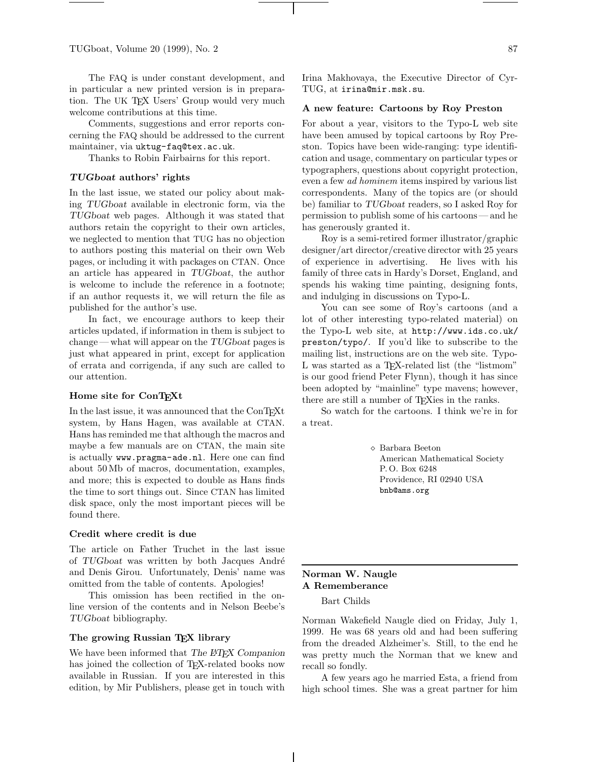The FAQ is under constant development, and in particular a new printed version is in preparation. The UK TEX Users' Group would very much welcome contributions at this time.

Comments, suggestions and error reports concerning the FAQ should be addressed to the current maintainer, via uktug-faq@tex.ac.uk.

Thanks to Robin Fairbairns for this report.

# *TUGboat* **authors' rights**

In the last issue, we stated our policy about making *TUGboat* available in electronic form, via the *TUGboat* web pages. Although it was stated that authors retain the copyright to their own articles, we neglected to mention that TUG has no objection to authors posting this material on their own Web pages, or including it with packages on CTAN. Once an article has appeared in *TUGboat*, the author is welcome to include the reference in a footnote; if an author requests it, we will return the file as published for the author's use.

In fact, we encourage authors to keep their articles updated, if information in them is subject to change— what will appear on the *TUGboat* pages is just what appeared in print, except for application of errata and corrigenda, if any such are called to our attention.

# **Home site for ConTEXt**

In the last issue, it was announced that the ConTEXt system, by Hans Hagen, was available at CTAN. Hans has reminded me that although the macros and maybe a few manuals are on CTAN, the main site is actually www.pragma-ade.nl. Here one can find about 50 Mb of macros, documentation, examples, and more; this is expected to double as Hans finds the time to sort things out. Since CTAN has limited disk space, only the most important pieces will be found there.

# **Credit where credit is due**

The article on Father Truchet in the last issue of *TUGboat* was written by both Jacques André and Denis Girou. Unfortunately, Denis' name was omitted from the table of contents. Apologies!

This omission has been rectified in the online version of the contents and in Nelson Beebe's *TUGboat* bibliography.

# **The growing Russian TEX library**

We have been informed that *The LATEX Companion* has joined the collection of T<sub>E</sub>X-related books now available in Russian. If you are interested in this edition, by Mir Publishers, please get in touch with

Irina Makhovaya, the Executive Director of Cyr-TUG, at irina@mir.msk.su.

#### **A new feature: Cartoons by Roy Preston**

For about a year, visitors to the Typo-L web site have been amused by topical cartoons by Roy Preston. Topics have been wide-ranging: type identification and usage, commentary on particular types or typographers, questions about copyright protection, even a few *ad hominem* items inspired by various list correspondents. Many of the topics are (or should be) familiar to *TUGboat* readers, so I asked Roy for permission to publish some of his cartoons— and he has generously granted it.

Roy is a semi-retired former illustrator/graphic designer/art director/creative director with 25 years of experience in advertising. He lives with his family of three cats in Hardy's Dorset, England, and spends his waking time painting, designing fonts, and indulging in discussions on Typo-L.

You can see some of Roy's cartoons (and a lot of other interesting typo-related material) on the Typo-L web site, at http://www.ids.co.uk/ preston/typo/. If you'd like to subscribe to the mailing list, instructions are on the web site. Typo-L was started as a T<sub>E</sub>X-related list (the "listmom" is our good friend Peter Flynn), though it has since been adopted by "mainline" type mavens; however, there are still a number of TEXies in the ranks.

So watch for the cartoons. I think we're in for a treat.

> Barbara Beeton American Mathematical Society P. O. Box 6248 Providence, RI 02940 USA bnb@ams.org

# **Norman W. Naugle A Rememberance**

Bart Childs

Norman Wakefield Naugle died on Friday, July 1, 1999. He was 68 years old and had been suffering from the dreaded Alzheimer's. Still, to the end he was pretty much the Norman that we knew and recall so fondly.

A few years ago he married Esta, a friend from high school times. She was a great partner for him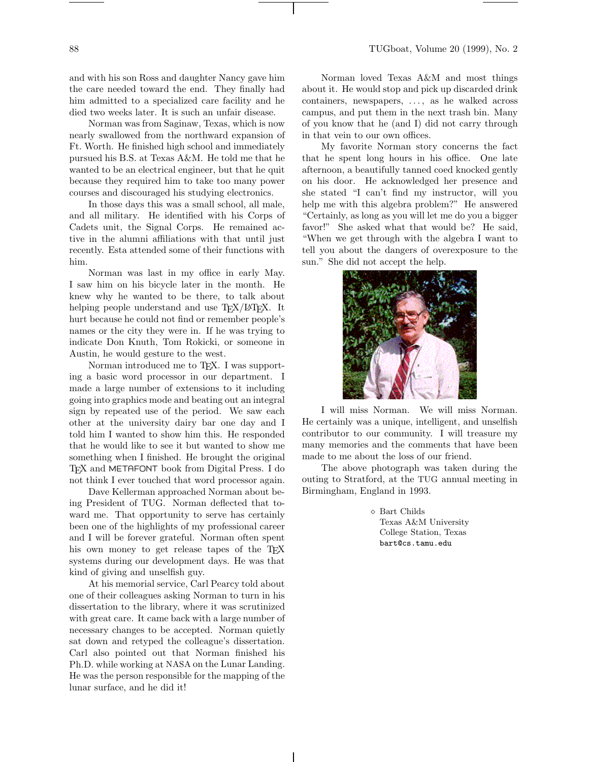and with his son Ross and daughter Nancy gave him the care needed toward the end. They finally had him admitted to a specialized care facility and he died two weeks later. It is such an unfair disease.

Norman was from Saginaw, Texas, which is now nearly swallowed from the northward expansion of Ft. Worth. He finished high school and immediately pursued his B.S. at Texas A&M. He told me that he wanted to be an electrical engineer, but that he quit because they required him to take too many power courses and discouraged his studying electronics.

In those days this was a small school, all male, and all military. He identified with his Corps of Cadets unit, the Signal Corps. He remained active in the alumni affiliations with that until just recently. Esta attended some of their functions with him.

Norman was last in my office in early May. I saw him on his bicycle later in the month. He knew why he wanted to be there, to talk about helping people understand and use T<sub>EX</sub>/L<sup>AT</sup>EX. It hurt because he could not find or remember people's names or the city they were in. If he was trying to indicate Don Knuth, Tom Rokicki, or someone in Austin, he would gesture to the west.

Norman introduced me to T<sub>E</sub>X. I was supporting a basic word processor in our department. I made a large number of extensions to it including going into graphics mode and beating out an integral sign by repeated use of the period. We saw each other at the university dairy bar one day and I told him I wanted to show him this. He responded that he would like to see it but wanted to show me something when I finished. He brought the original TEX and METAFONT book from Digital Press. I do not think I ever touched that word processor again.

Dave Kellerman approached Norman about being President of TUG. Norman deflected that toward me. That opportunity to serve has certainly been one of the highlights of my professional career and I will be forever grateful. Norman often spent his own money to get release tapes of the TEX systems during our development days. He was that kind of giving and unselfish guy.

At his memorial service, Carl Pearcy told about one of their colleagues asking Norman to turn in his dissertation to the library, where it was scrutinized with great care. It came back with a large number of necessary changes to be accepted. Norman quietly sat down and retyped the colleague's dissertation. Carl also pointed out that Norman finished his Ph.D. while working at NASA on the Lunar Landing. He was the person responsible for the mapping of the lunar surface, and he did it!

Norman loved Texas A&M and most things about it. He would stop and pick up discarded drink containers, newspapers, . . . , as he walked across campus, and put them in the next trash bin. Many of you know that he (and I) did not carry through in that vein to our own offices.

My favorite Norman story concerns the fact that he spent long hours in his office. One late afternoon, a beautifully tanned coed knocked gently on his door. He acknowledged her presence and she stated "I can't find my instructor, will you help me with this algebra problem?" He answered "Certainly, as long as you will let me do you a bigger favor!" She asked what that would be? He said, "When we get through with the algebra I want to tell you about the dangers of overexposure to the sun." She did not accept the help.



I will miss Norman. We will miss Norman. He certainly was a unique, intelligent, and unselfish contributor to our community. I will treasure my many memories and the comments that have been made to me about the loss of our friend.

The above photograph was taken during the outing to Stratford, at the TUG annual meeting in Birmingham, England in 1993.

> Bart Childs Texas A&M University College Station, Texas bart@cs.tamu.edu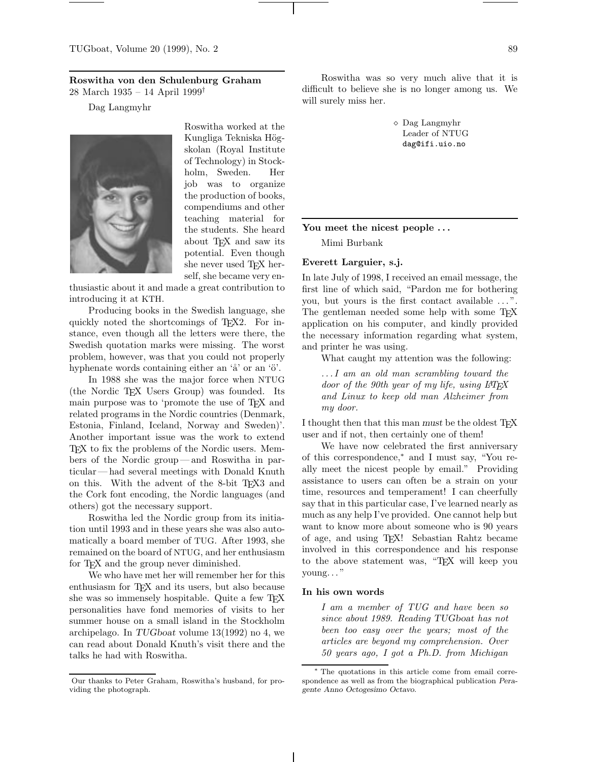# **Roswitha von den Schulenburg Graham**

28 March 1935 – 14 April 1999†

Dag Langmyhr



Roswitha worked at the Kungliga Tekniska Högskolan (Royal Institute of Technology) in Stockholm, Sweden. Her job was to organize the production of books, compendiums and other teaching material for the students. She heard about TEX and saw its potential. Even though she never used TFX herself, she became very en-

thusiastic about it and made a great contribution to introducing it at KTH.

Producing books in the Swedish language, she quickly noted the shortcomings of TEX2. For instance, even though all the letters were there, the Swedish quotation marks were missing. The worst problem, however, was that you could not properly hyphenate words containing either an  $\alpha$  or an  $\ddot{\circ}$ .

In 1988 she was the major force when NTUG (the Nordic TEX Users Group) was founded. Its main purpose was to 'promote the use of TEX and related programs in the Nordic countries (Denmark, Estonia, Finland, Iceland, Norway and Sweden)'. Another important issue was the work to extend TEX to fix the problems of the Nordic users. Members of the Nordic group— and Roswitha in particular— had several meetings with Donald Knuth on this. With the advent of the 8-bit TEX3 and the Cork font encoding, the Nordic languages (and others) got the necessary support.

Roswitha led the Nordic group from its initiation until 1993 and in these years she was also automatically a board member of TUG. After 1993, she remained on the board of NTUG, and her enthusiasm for T<sub>F</sub>X and the group never diminished.

We who have met her will remember her for this enthusiasm for T<sub>F</sub>X and its users, but also because she was so immensely hospitable. Quite a few TEX personalities have fond memories of visits to her summer house on a small island in the Stockholm archipelago. In *TUGboat* volume 13(1992) no 4, we can read about Donald Knuth's visit there and the talks he had with Roswitha.

Roswitha was so very much alive that it is difficult to believe she is no longer among us. We will surely miss her.

> Dag Langmyhr Leader of NTUG dag@ifi.uio.no

# **You meet the nicest people . . .**

Mimi Burbank

# **Everett Larguier, s.j.**

In late July of 1998, I received an email message, the first line of which said, "Pardon me for bothering you, but yours is the first contact available ...". The gentleman needed some help with some T<sub>EX</sub> application on his computer, and kindly provided the necessary information regarding what system, and printer he was using.

What caught my attention was the following:

*. . . I am an old man scrambling toward the door of the 90th year of my life, using L*A*TEX and Linux to keep old man Alzheimer from my door.*

I thought then that this man *must* be the oldest T<sub>E</sub>X user and if not, then certainly one of them!

We have now celebrated the first anniversary of this correspondence,<sup>∗</sup> and I must say, "You really meet the nicest people by email." Providing assistance to users can often be a strain on your time, resources and temperament! I can cheerfully say that in this particular case, I've learned nearly as much as any help I've provided. One cannot help but want to know more about someone who is 90 years of age, and using TEX! Sebastian Rahtz became involved in this correspondence and his response to the above statement was, "TEX will keep you  $\gamma$ oung..."

# **In his own words**

*I am a member of TUG and have been so since about 1989. Reading TUGboat has not been too easy over the years; most of the articles are beyond my comprehension. Over 50 years ago, I got a Ph.D. from Michigan*

Our thanks to Peter Graham, Roswitha's husband, for providing the photograph.

<sup>∗</sup> The quotations in this article come from email correspondence as well as from the biographical publication Peragente Anno Octogesimo Octavo.